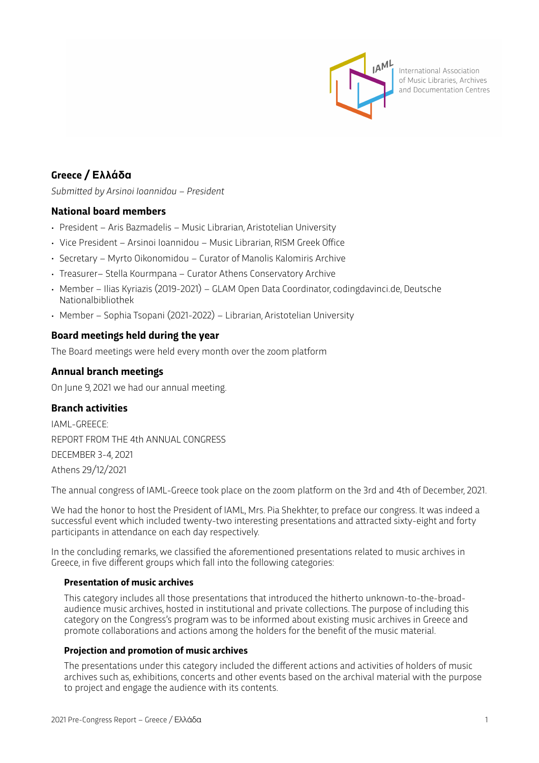

International Association of Music Libraries, Archives and Documentation Centres

# **Greece / Ελλάδα**

*Submitted by Arsinoi Ioannidou – President*

# **National board members**

- President Aris Bazmadelis Music Librarian, Aristotelian University
- Vice President Arsinoi Ioannidou Music Librarian, RISM Greek Office
- Secretary Myrto Oikonomidou Curator of Manolis Kalomiris Archive
- Treasurer– Stella Kourmpana Curator Athens Conservatory Archive
- Member Ilias Kyriazis (2019-2021) GLAM Open Data Coordinator, codingdavinci.de, Deutsche Nationalbibliothek
- Member Sophia Tsopani (2021-2022) Librarian, Aristotelian University

# **Board meetings held during the year**

The Board meetings were held every month over the zoom platform

# **Annual branch meetings**

On June 9, 2021 we had our annual meeting.

# **Branch activities**

IAML-GREECE: REPORT FROM THE 4th ANNUAL CONGRESS DECEMBER 3-4, 2021 Athens 29/12/2021

The annual congress of IAML-Greece took place on the zoom platform on the 3rd and 4th of December, 2021.

We had the honor to host the President of IAML, Mrs. Pia Shekhter, to preface our congress. It was indeed a successful event which included twenty-two interesting presentations and attracted sixty-eight and forty participants in attendance on each day respectively.

In the concluding remarks, we classified the aforementioned presentations related to music archives in Greece, in five different groups which fall into the following categories:

# **Presentation of music archives**

This category includes all those presentations that introduced the hitherto unknown-to-the-broadaudience music archives, hosted in institutional and private collections. The purpose of including this category on the Congress's program was to be informed about existing music archives in Greece and promote collaborations and actions among the holders for the benefit of the music material.

#### **Projection and promotion of music archives**

The presentations under this category included the different actions and activities of holders of music archives such as, exhibitions, concerts and other events based on the archival material with the purpose to project and engage the audience with its contents.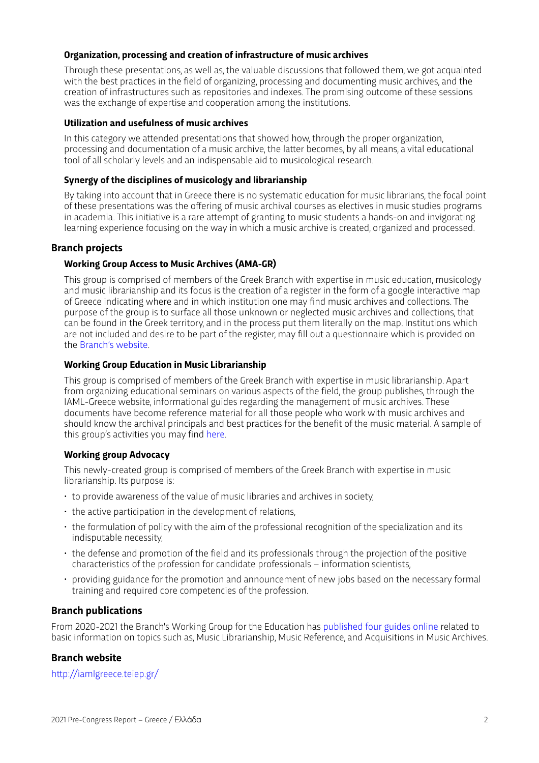#### **Organization, processing and creation of infrastructure of music archives**

Through these presentations, as well as, the valuable discussions that followed them, we got acquainted with the best practices in the field of organizing, processing and documenting music archives, and the creation of infrastructures such as repositories and indexes. The promising outcome of these sessions was the exchange of expertise and cooperation among the institutions.

#### **Utilization and usefulness of music archives**

In this category we attended presentations that showed how, through the proper organization, processing and documentation of a music archive, the latter becomes, by all means, a vital educational tool of all scholarly levels and an indispensable aid to musicological research.

# **Synergy of the disciplines of musicology and librarianship**

By taking into account that in Greece there is no systematic education for music librarians, the focal point of these presentations was the offering of music archival courses as electives in music studies programs in academia. This initiative is a rare attempt of granting to music students a hands-on and invigorating learning experience focusing on the way in which a music archive is created, organized and processed.

# **Branch projects**

#### **Working Group Access to Music Archives (AMA-GR)**

This group is comprised of members of the Greek Branch with expertise in music education, musicology and music librarianship and its focus is the creation of a register in the form of a google interactive map of Greece indicating where and in which institution one may find music archives and collections. The purpose of the group is to surface all those unknown or neglected music archives and collections, that can be found in the Greek territory, and in the process put them literally on the map. Institutions which are not included and desire to be part of the register, may fill out a questionnaire which is provided on the [Branch's website.](http://iamlgreece.teiep.gr/?p=808)

#### **Working Group Education in Music Librarianship**

This group is comprised of members of the Greek Branch with expertise in music librarianship. Apart from organizing educational seminars on various aspects of the field, the group publishes, through the IAML-Greece website, informational guides regarding the management of music archives. These documents have become reference material for all those people who work with music archives and should know the archival principals and best practices for the benefit of the music material. A sample of this group's activities you may find [here.](http://iamlgreece.teiep.gr/?page_id=1459)

# **Working group Advocacy**

This newly-created group is comprised of members of the Greek Branch with expertise in music librarianship. Its purpose is:

- to provide awareness of the value of music libraries and archives in society,
- the active participation in the development of relations,
- the formulation of policy with the aim of the professional recognition of the specialization and its indisputable necessity,
- the defense and promotion of the field and its professionals through the projection of the positive characteristics of the profession for candidate professionals – information scientists,
- providing guidance for the promotion and announcement of new jobs based on the necessary formal training and required core competencies of the profession.

# **Branch publications**

From 2020-2021 the Branch's Working Group for the Education has [published four guides online](http://iamlgreece.teiep.gr/?page_id=1459) related to basic information on topics such as, Music Librarianship, Music Reference, and Acquisitions in Music Archives.

# **Branch website**

htt[p://iamlgreece.teiep.gr/](http://iamlgreece.teiep.gr/)